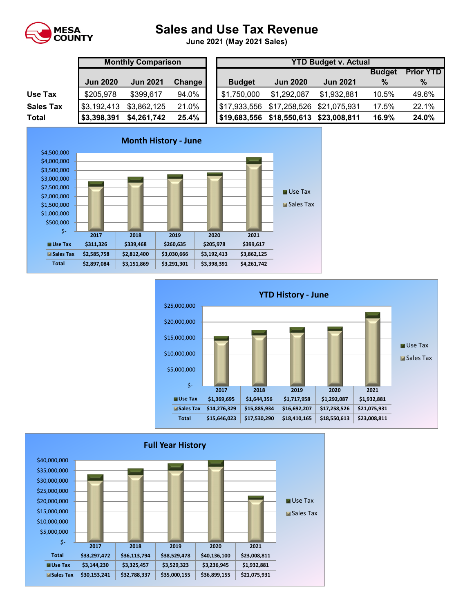

## **Sales and Use Tax Revenue**

**June 2021 (May 2021 Sales)** 

|                  | <b>Monthly Comparison</b> |                 |        | <b>YTD Budget v. Actual</b> |                                        |                 |               |                  |  |
|------------------|---------------------------|-----------------|--------|-----------------------------|----------------------------------------|-----------------|---------------|------------------|--|
|                  |                           |                 |        |                             |                                        |                 | <b>Budget</b> | <b>Prior YTD</b> |  |
|                  | <b>Jun 2020</b>           | <b>Jun 2021</b> | Change | <b>Budget</b>               | <b>Jun 2020</b>                        | <b>Jun 2021</b> | $\%$          | $\%$             |  |
| Use Tax          | \$205,978                 | \$399,617       | 94.0%  | \$1,750,000                 | \$1,292,087                            | \$1,932,881     | 10.5%         | 49.6%            |  |
| <b>Sales Tax</b> | \$3,192,413               | \$3,862,125     | 21.0%  |                             | \$17,933,556 \$17,258,526 \$21,075,931 |                 | 17.5%         | 22.1%            |  |
| <b>Total</b>     | \$3,398,391               | \$4,261,742     | 25.4%  | \$19,683,556                | \$18,550,613                           | \$23,008,811    | 16.9%         | 24.0%            |  |





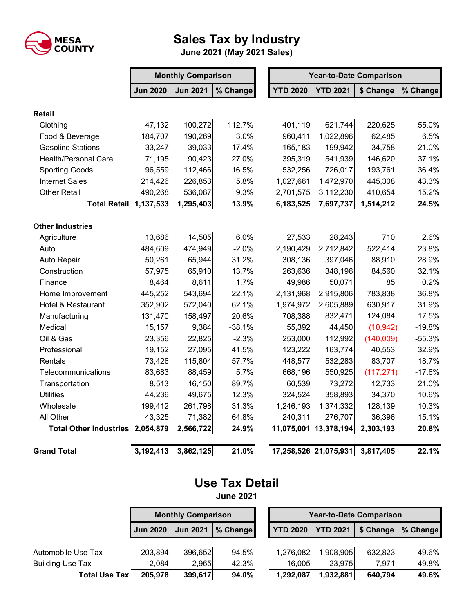

## **Sales Tax by Industry**

**June 2021 (May 2021 Sales)**

|                                  | <b>Monthly Comparison</b> |                 |          | <b>Year-to-Date Comparison</b> |                 |            |          |  |
|----------------------------------|---------------------------|-----------------|----------|--------------------------------|-----------------|------------|----------|--|
|                                  | <b>Jun 2020</b>           | <b>Jun 2021</b> | % Change | <b>YTD 2020</b>                | <b>YTD 2021</b> | \$ Change  | % Change |  |
| <b>Retail</b>                    |                           |                 |          |                                |                 |            |          |  |
| Clothing                         | 47,132                    | 100,272         | 112.7%   | 401,119                        | 621,744         | 220,625    | 55.0%    |  |
| Food & Beverage                  | 184,707                   | 190,269         | 3.0%     | 960,411                        | 1,022,896       | 62,485     | 6.5%     |  |
| <b>Gasoline Stations</b>         | 33,247                    | 39,033          | 17.4%    | 165,183                        | 199,942         | 34,758     | 21.0%    |  |
| <b>Health/Personal Care</b>      | 71,195                    | 90,423          | 27.0%    | 395,319                        | 541,939         | 146,620    | 37.1%    |  |
| <b>Sporting Goods</b>            | 96,559                    | 112,466         | 16.5%    | 532,256                        | 726,017         | 193,761    | 36.4%    |  |
| <b>Internet Sales</b>            | 214,426                   | 226,853         | 5.8%     | 1,027,661                      | 1,472,970       | 445,308    | 43.3%    |  |
| <b>Other Retail</b>              | 490,268                   | 536,087         | 9.3%     | 2,701,575                      | 3,112,230       | 410,654    | 15.2%    |  |
| <b>Total Retail 1,137,533</b>    |                           | 1,295,403       | 13.9%    | 6,183,525                      | 7,697,737       | 1,514,212  | 24.5%    |  |
| <b>Other Industries</b>          |                           |                 |          |                                |                 |            |          |  |
| Agriculture                      | 13,686                    | 14,505          | 6.0%     | 27,533                         | 28,243          | 710        | 2.6%     |  |
| Auto                             | 484,609                   | 474,949         | $-2.0%$  | 2,190,429                      | 2,712,842       | 522,414    | 23.8%    |  |
| Auto Repair                      | 50,261                    | 65,944          | 31.2%    | 308,136                        | 397,046         | 88,910     | 28.9%    |  |
| Construction                     | 57,975                    | 65,910          | 13.7%    | 263,636                        | 348,196         | 84,560     | 32.1%    |  |
| Finance                          | 8,464                     | 8,611           | 1.7%     | 49,986                         | 50,071          | 85         | 0.2%     |  |
| Home Improvement                 | 445,252                   | 543,694         | 22.1%    | 2,131,968                      | 2,915,806       | 783,838    | 36.8%    |  |
| Hotel & Restaurant               | 352,902                   | 572,040         | 62.1%    | 1,974,972                      | 2,605,889       | 630,917    | 31.9%    |  |
| Manufacturing                    | 131,470                   | 158,497         | 20.6%    | 708,388                        | 832,471         | 124,084    | 17.5%    |  |
| Medical                          | 15,157                    | 9,384           | $-38.1%$ | 55,392                         | 44,450          | (10, 942)  | $-19.8%$ |  |
| Oil & Gas                        | 23,356                    | 22,825          | $-2.3%$  | 253,000                        | 112,992         | (140,009)  | $-55.3%$ |  |
| Professional                     | 19,152                    | 27,095          | 41.5%    | 123,222                        | 163,774         | 40,553     | 32.9%    |  |
| Rentals                          | 73,426                    | 115,804         | 57.7%    | 448,577                        | 532,283         | 83,707     | 18.7%    |  |
| Telecommunications               | 83,683                    | 88,459          | 5.7%     | 668,196                        | 550,925         | (117, 271) | $-17.6%$ |  |
| Transportation                   | 8,513                     | 16,150          | 89.7%    | 60,539                         | 73,272          | 12,733     | 21.0%    |  |
| <b>Utilities</b>                 | 44,236                    | 49,675          | 12.3%    | 324,524                        | 358,893         | 34,370     | 10.6%    |  |
| Wholesale                        | 199,412                   | 261,798         | 31.3%    | 1,246,193                      | 1,374,332       | 128,139    | 10.3%    |  |
| All Other                        | 43,325                    | 71,382          | 64.8%    | 240,311                        | 276,707         | 36,396     | 15.1%    |  |
| Total Other Industries 2,054,879 |                           | 2,566,722       | 24.9%    | 11,075,001 13,378,194          |                 | 2,303,193  | 20.8%    |  |
| <b>Grand Total</b>               | 3,192,413                 | 3,862,125       | 21.0%    | 17,258,526 21,075,931          |                 | 3,817,405  | 22.1%    |  |

## **Use Tax Detail**

**June 2021**

|                         | <b>Monthly Comparison</b> |                 |          | <b>Year-to-Date Comparison</b> |                 |           |          |  |
|-------------------------|---------------------------|-----------------|----------|--------------------------------|-----------------|-----------|----------|--|
|                         | <b>Jun 2020</b>           | <b>Jun 2021</b> | % Change | <b>YTD 2020</b>                | <b>YTD 2021</b> | \$ Change | % Change |  |
| Automobile Use Tax      | 203,894                   | 396,652         | 94.5%    | 1,276,082                      | 1,908,905       | 632,823   | 49.6%    |  |
| <b>Building Use Tax</b> | 2.084                     | 2,965           | 42.3%    | 16,005                         | 23,975          | 7.971     | 49.8%    |  |
| <b>Total Use Tax</b>    | 205,978                   | 399,617         | 94.0%    | 1,292,087                      | 1,932,881       | 640,794   | 49.6%    |  |